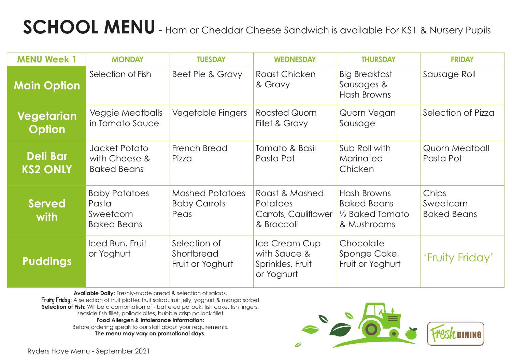**Available Daily:** Freshly-made bread & selection of salads. **Fruity Friday**: A selection of fruit platter, fruit salad, fruit jelly, yoghurt & mango sorbet **Selection of Fish:** Will be a combination of - battered pollock, fish cake, fish fingers, seaside fish fillet, pollock bites, bubble crisp pollock fillet **Food Allergen & Intolerance Information:** 

Before ordering speak to our staff about your requirements.

**The menu may vary on promotional days.** 



| <b>MENU Week 1</b>          | <b>MONDAY</b>                                                    | <b>TUESDAY</b>                                        | <b>WEDNESDAY</b>                                                               | <b>THURSDAY</b>                                                                | <b>FRIDAY</b>                            |
|-----------------------------|------------------------------------------------------------------|-------------------------------------------------------|--------------------------------------------------------------------------------|--------------------------------------------------------------------------------|------------------------------------------|
| <b>Main Option</b>          | Selection of Fish                                                | Beef Pie & Gravy                                      | <b>Roast Chicken</b><br>& Gravy                                                | <b>Big Breakfast</b><br>Sausages &<br><b>Hash Browns</b>                       | Sausage Roll                             |
| Vegetarian<br><b>Option</b> | <b>Veggie Meatballs</b><br>in Tomato Sauce                       | <b>Vegetable Fingers</b>                              | <b>Roasted Quorn</b><br>Fillet & Gravy                                         | Quorn Vegan<br>Sausage                                                         | Selection of Pizza                       |
| Deli Bar<br><b>KS2 ONLY</b> | Jacket Potato<br>with Cheese &<br><b>Baked Beans</b>             | French Bread<br>Pizza                                 | Tomato & Basil<br>Pasta Pot                                                    | Sub Roll with<br>Marinated<br>Chicken                                          | <b>Quorn Meatball</b><br>Pasta Pot       |
| Served<br>with              | <b>Baby Potatoes</b><br>Pasta<br>Sweetcorn<br><b>Baked Beans</b> | <b>Mashed Potatoes</b><br><b>Baby Carrots</b><br>Peas | Roast & Mashed<br><b>Potatoes</b><br><b>Carrots, Cauliflower</b><br>& Broccoli | Hash Browns<br><b>Baked Beans</b><br>$\frac{1}{2}$ Baked Tomato<br>& Mushrooms | Chips<br>Sweetcorn<br><b>Baked Beans</b> |
| <b>Puddings</b>             | Iced Bun, Fruit<br>or Yoghurt                                    | Selection of<br>Shortbread<br>Fruit or Yoghurt        | Ice Cream Cup<br>with Sauce &<br>Sprinkles, Fruit<br>or Yoghurt                | Chocolate<br>Sponge Cake,<br>Fruit or Yoghurt                                  | 'Fruity Friday'                          |

# **SCHOOL MENU** - Ham or Cheddar Cheese Sandwich is available For KS1 & Nursery Pupils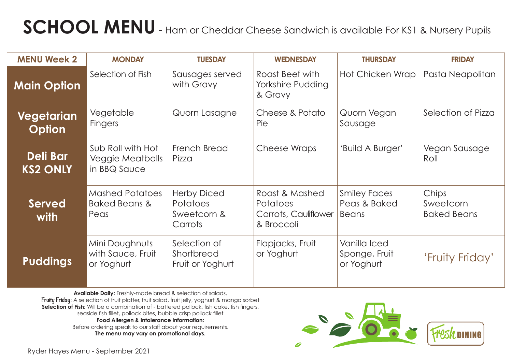| <b>MENU Week 2</b>          | <b>MONDAY</b>                                                | <b>TUESDAY</b>                                                  | <b>WEDNESDAY</b>                                                        | <b>THURSDAY</b>                                     | <b>FRIDAY</b>                            |
|-----------------------------|--------------------------------------------------------------|-----------------------------------------------------------------|-------------------------------------------------------------------------|-----------------------------------------------------|------------------------------------------|
| <b>Main Option</b>          | Selection of Fish                                            | Sausages served<br>with Gravy                                   | Roast Beef with<br><b>Yorkshire Pudding</b><br>& Gravy                  | Hot Chicken Wrap                                    | Pasta Neapolitan                         |
| Vegetarian<br><b>Option</b> | Vegetable<br><b>Fingers</b>                                  | Quorn Lasagne                                                   | Cheese & Potato<br>Pie                                                  | Quorn Vegan<br>Sausage                              | Selection of Pizza                       |
| Deli Bar<br><b>KS2 ONLY</b> | Sub Roll with Hot<br><b>Veggie Meatballs</b><br>in BBQ Sauce | French Bread<br>Pizza                                           | <b>Cheese Wraps</b>                                                     | 'Build A Burger'                                    | Vegan Sausage<br>Roll                    |
| <b>Served</b><br>with       | <b>Mashed Potatoes</b><br><b>Baked Beans &amp;</b><br>Peas   | <b>Herby Diced</b><br><b>Potatoes</b><br>Sweetcorn &<br>Carrots | Roast & Mashed<br><b>Potatoes</b><br>Carrots, Cauliflower<br>& Broccoli | <b>Smiley Faces</b><br>Peas & Baked<br><b>Beans</b> | Chips<br>Sweetcorn<br><b>Baked Beans</b> |
| <b>Puddings</b>             | Mini Doughnuts<br>with Sauce, Fruit<br>or Yoghurt            | Selection of<br>Shortbread<br>Fruit or Yoghurt                  | Flapjacks, Fruit<br>or Yoghurt                                          | Vanilla Iced<br>Sponge, Fruit<br>or Yoghurt         | 'Fruity Friday'                          |

**Available Daily:** Freshly-made bread & selection of salads. **Fruity Friday**: A selection of fruit platter, fruit salad, fruit jelly, yoghurt & mango sorbet **Selection of Fish:** Will be a combination of - battered pollock, fish cake, fish fingers, seaside fish fillet, pollock bites, bubble crisp pollock fillet

#### **Food Allergen & Intolerance Information:**

Before ordering speak to our staff about your requirements.

**The menu may vary on promotional days.** 



## **SCHOOL MENU** - Ham or Cheddar Cheese Sandwich is available For KS1 & Nursery Pupils